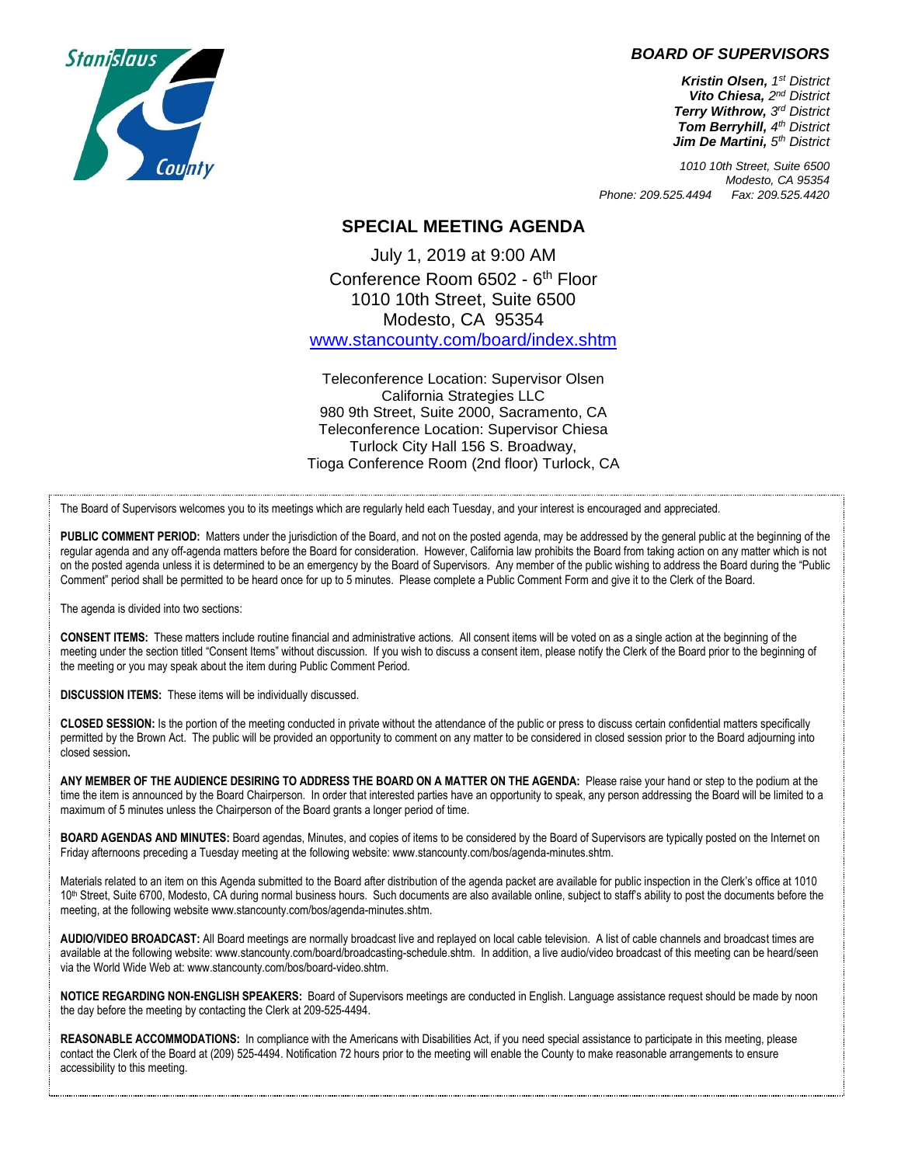*BOARD OF SUPERVISORS*

*Kristin Olsen, 1 st District Vito Chiesa, 2 nd District Terry Withrow, 3 rd District* **Tom Berryhill, 4<sup>th</sup> District** *Jim De Martini, 5 th District*

*1010 10th Street, Suite 6500 Modesto, CA 95354 Phone: 209.525.4494 Fax: 209.525.4420*

## **SPECIAL MEETING AGENDA**

July 1, 2019 at 9:00 AM Conference Room 6502 - 6<sup>th</sup> Floor 1010 10th Street, Suite 6500 Modesto, CA 95354 [www.stancounty.com/board/index.shtm](http://www.stancounty.com/board/index.shtm)

Teleconference Location: Supervisor Olsen California Strategies LLC 980 9th Street, Suite 2000, Sacramento, CA Teleconference Location: Supervisor Chiesa Turlock City Hall 156 S. Broadway, Tioga Conference Room (2nd floor) Turlock, CA

The Board of Supervisors welcomes you to its meetings which are regularly held each Tuesday, and your interest is encouraged and appreciated.

**PUBLIC COMMENT PERIOD:** Matters under the jurisdiction of the Board, and not on the posted agenda, may be addressed by the general public at the beginning of the regular agenda and any off-agenda matters before the Board for consideration. However, California law prohibits the Board from taking action on any matter which is not on the posted agenda unless it is determined to be an emergency by the Board of Supervisors. Any member of the public wishing to address the Board during the "Public Comment" period shall be permitted to be heard once for up to 5 minutes. Please complete a Public Comment Form and give it to the Clerk of the Board.

The agenda is divided into two sections:

**CONSENT ITEMS:** These matters include routine financial and administrative actions. All consent items will be voted on as a single action at the beginning of the meeting under the section titled "Consent Items" without discussion. If you wish to discuss a consent item, please notify the Clerk of the Board prior to the beginning of the meeting or you may speak about the item during Public Comment Period.

**DISCUSSION ITEMS:** These items will be individually discussed.

**CLOSED SESSION:** Is the portion of the meeting conducted in private without the attendance of the public or press to discuss certain confidential matters specifically permitted by the Brown Act. The public will be provided an opportunity to comment on any matter to be considered in closed session prior to the Board adjourning into closed session**.**

**ANY MEMBER OF THE AUDIENCE DESIRING TO ADDRESS THE BOARD ON A MATTER ON THE AGENDA:** Please raise your hand or step to the podium at the time the item is announced by the Board Chairperson. In order that interested parties have an opportunity to speak, any person addressing the Board will be limited to a maximum of 5 minutes unless the Chairperson of the Board grants a longer period of time.

**BOARD AGENDAS AND MINUTES:** Board agendas, Minutes, and copies of items to be considered by the Board of Supervisors are typically posted on the Internet on Friday afternoons preceding a Tuesday meeting at the following website: www.stancounty.com/bos/agenda-minutes.shtm.

Materials related to an item on this Agenda submitted to the Board after distribution of the agenda packet are available for public inspection in the Clerk's office at 1010 10<sup>th</sup> Street, Suite 6700, Modesto, CA during normal business hours. Such documents are also available online, subject to staff's ability to post the documents before the meeting, at the following website www.stancounty.com/bos/agenda-minutes.shtm.

**AUDIO/VIDEO BROADCAST:** All Board meetings are normally broadcast live and replayed on local cable television. A list of cable channels and broadcast times are available at the following website: www.stancounty.com/board/broadcasting-schedule.shtm. In addition, a live audio/video broadcast of this meeting can be heard/seen via the World Wide Web at: www.stancounty.com/bos/board-video.shtm.

**NOTICE REGARDING NON-ENGLISH SPEAKERS:** Board of Supervisors meetings are conducted in English. Language assistance request should be made by noon the day before the meeting by contacting the Clerk at 209-525-4494.

**REASONABLE ACCOMMODATIONS:** In compliance with the Americans with Disabilities Act, if you need special assistance to participate in this meeting, please contact the Clerk of the Board at (209) 525-4494. Notification 72 hours prior to the meeting will enable the County to make reasonable arrangements to ensure accessibility to this meeting.